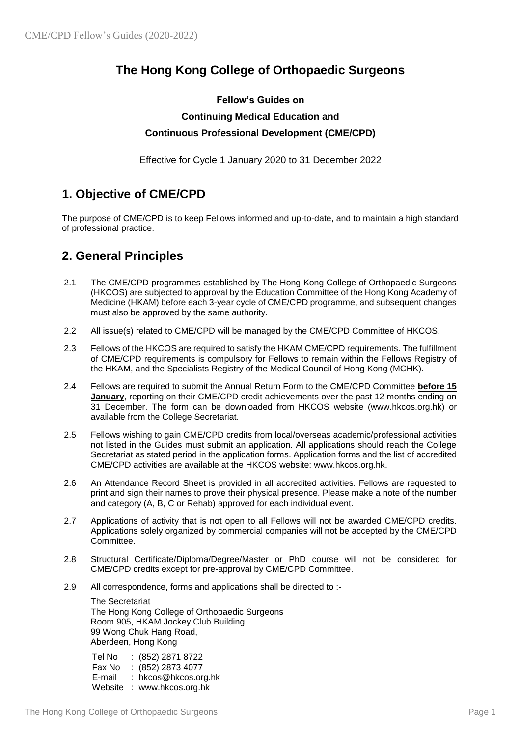## **The Hong Kong College of Orthopaedic Surgeons**

### **Fellow's Guides on Continuing Medical Education and**

### **Continuous Professional Development (CME/CPD)**

Effective for Cycle 1 January 2020 to 31 December 2022

## **1. Objective of CME/CPD**

The purpose of CME/CPD is to keep Fellows informed and up-to-date, and to maintain a high standard of professional practice.

### **2. General Principles**

- 2.1 The CME/CPD programmes established by The Hong Kong College of Orthopaedic Surgeons (HKCOS) are subjected to approval by the Education Committee of the Hong Kong Academy of Medicine (HKAM) before each 3-year cycle of CME/CPD programme, and subsequent changes must also be approved by the same authority.
- 2.2 All issue(s) related to CME/CPD will be managed by the CME/CPD Committee of HKCOS.
- 2.3 Fellows of the HKCOS are required to satisfy the HKAM CME/CPD requirements. The fulfillment of CME/CPD requirements is compulsory for Fellows to remain within the Fellows Registry of the HKAM, and the Specialists Registry of the Medical Council of Hong Kong (MCHK).
- 2.4 Fellows are required to submit the Annual Return Form to the CME/CPD Committee **before 15 January**, reporting on their CME/CPD credit achievements over the past 12 months ending on 31 December. The form can be downloaded from HKCOS website (www.hkcos.org.hk) or available from the College Secretariat.
- 2.5 Fellows wishing to gain CME/CPD credits from local/overseas academic/professional activities not listed in the Guides must submit an application. All applications should reach the College Secretariat as stated period in the application forms. Application forms and the list of accredited CME/CPD activities are available at the HKCOS website: www.hkcos.org.hk.
- 2.6 An Attendance Record Sheet is provided in all accredited activities. Fellows are requested to print and sign their names to prove their physical presence. Please make a note of the number and category (A, B, C or Rehab) approved for each individual event.
- 2.7 Applications of activity that is not open to all Fellows will not be awarded CME/CPD credits. Applications solely organized by commercial companies will not be accepted by the CME/CPD Committee.
- 2.8 Structural Certificate/Diploma/Degree/Master or PhD course will not be considered for CME/CPD credits except for pre-approval by CME/CPD Committee.
- 2.9 All correspondence, forms and applications shall be directed to :-

The Secretariat The Hong Kong College of Orthopaedic Surgeons Room 905, HKAM Jockey Club Building 99 Wong Chuk Hang Road, Aberdeen, Hong Kong

Tel No : (852) 2871 8722 Fax No : (852) 2873 4077 E-mail : hkcos@hkcos.org.hk Website : www.hkcos.org.hk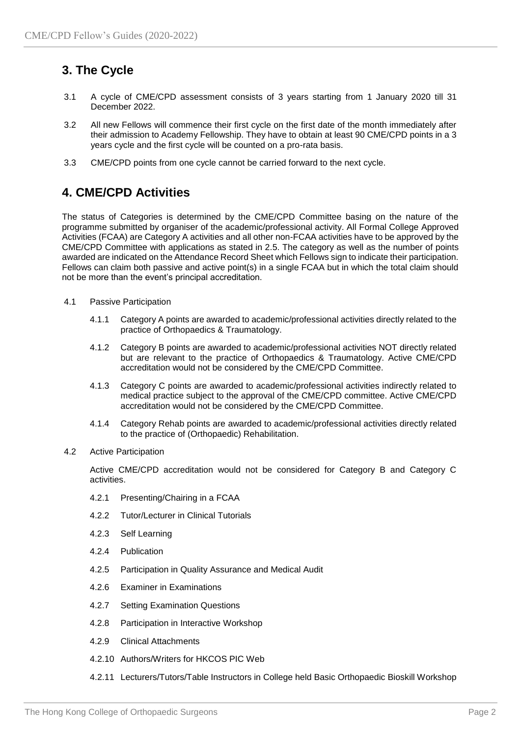# **3. The Cycle**

- 3.1 A cycle of CME/CPD assessment consists of 3 years starting from 1 January 2020 till 31 December 2022.
- 3.2 All new Fellows will commence their first cycle on the first date of the month immediately after their admission to Academy Fellowship. They have to obtain at least 90 CME/CPD points in a 3 years cycle and the first cycle will be counted on a pro-rata basis.
- 3.3 CME/CPD points from one cycle cannot be carried forward to the next cycle.

### **4. CME/CPD Activities**

The status of Categories is determined by the CME/CPD Committee basing on the nature of the programme submitted by organiser of the academic/professional activity. All Formal College Approved Activities (FCAA) are Category A activities and all other non-FCAA activities have to be approved by the CME/CPD Committee with applications as stated in 2.5. The category as well as the number of points awarded are indicated on the Attendance Record Sheet which Fellows sign to indicate their participation. Fellows can claim both passive and active point(s) in a single FCAA but in which the total claim should not be more than the event's principal accreditation.

- 4.1 Passive Participation
	- 4.1.1 Category A points are awarded to academic/professional activities directly related to the practice of Orthopaedics & Traumatology.
	- 4.1.2 Category B points are awarded to academic/professional activities NOT directly related but are relevant to the practice of Orthopaedics & Traumatology. Active CME/CPD accreditation would not be considered by the CME/CPD Committee.
	- 4.1.3 Category C points are awarded to academic/professional activities indirectly related to medical practice subject to the approval of the CME/CPD committee. Active CME/CPD accreditation would not be considered by the CME/CPD Committee.
	- 4.1.4 Category Rehab points are awarded to academic/professional activities directly related to the practice of (Orthopaedic) Rehabilitation.
- 4.2 Active Participation

Active CME/CPD accreditation would not be considered for Category B and Category C activities.

- 4.2.1 Presenting/Chairing in a FCAA
- 4.2.2 Tutor/Lecturer in Clinical Tutorials
- 4.2.3 Self Learning
- 4.2.4 Publication
- 4.2.5 Participation in Quality Assurance and Medical Audit
- 4.2.6 Examiner in Examinations
- 4.2.7 Setting Examination Questions
- 4.2.8 Participation in Interactive Workshop
- 4.2.9 Clinical Attachments
- 4.2.10 Authors/Writers for HKCOS PIC Web
- 4.2.11 Lecturers/Tutors/Table Instructors in College held Basic Orthopaedic Bioskill Workshop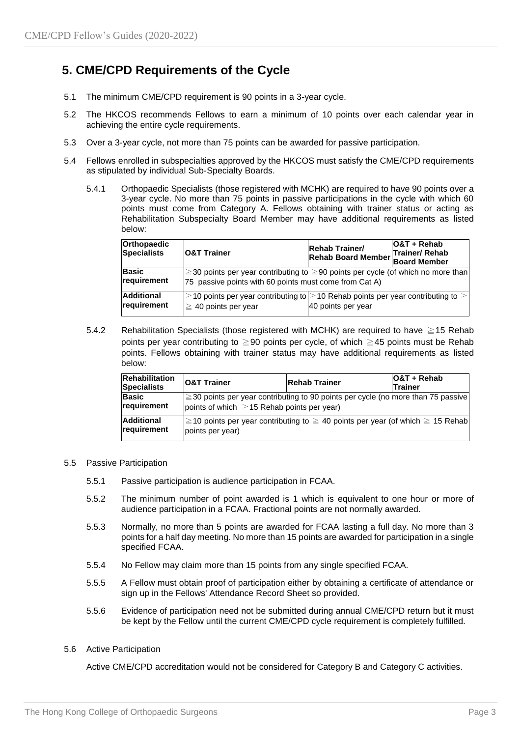### **5. CME/CPD Requirements of the Cycle**

- 5.1 The minimum CME/CPD requirement is 90 points in a 3-year cycle.
- 5.2 The HKCOS recommends Fellows to earn a minimum of 10 points over each calendar year in achieving the entire cycle requirements.
- 5.3 Over a 3-year cycle, not more than 75 points can be awarded for passive participation.
- 5.4 Fellows enrolled in subspecialties approved by the HKCOS must satisfy the CME/CPD requirements as stipulated by individual Sub-Specialty Boards.
	- 5.4.1 Orthopaedic Specialists (those registered with MCHK) are required to have 90 points over a 3-year cycle. No more than 75 points in passive participations in the cycle with which 60 points must come from Category A. Fellows obtaining with trainer status or acting as Rehabilitation Subspecialty Board Member may have additional requirements as listed below:

| Orthopaedic<br>Specialists       | <b>O&amp;T Trainer</b>                                                                                                                    | <b>Rehab Trainer/</b><br>Rehab Trainer<br>Rehab Board Member Board Member | O&T + Rehab |
|----------------------------------|-------------------------------------------------------------------------------------------------------------------------------------------|---------------------------------------------------------------------------|-------------|
| <b>Basic</b><br>requirement      | ≥30 points per year contributing to ≥90 points per cycle (of which no more than<br>75 passive points with 60 points must come from Cat A) |                                                                           |             |
| <b>Additional</b><br>requirement | 2 210 points per year contributing to 210 Rehab points per year contributing to $≥$<br>$\geq 40$ points per year                          | 40 points per year                                                        |             |

5.4.2 Rehabilitation Specialists (those registered with MCHK) are required to have ≧15 Rehab points per year contributing to ≧90 points per cycle, of which ≧45 points must be Rehab points. Fellows obtaining with trainer status may have additional requirements as listed below:

| Rehabilitation<br><b>Specialists</b> | <b>O&amp;T Trainer</b>                                                                                                                       | <b>Rehab Trainer</b>                                                           | IO&T + Rehab<br><b>Trainer</b> |  |  |
|--------------------------------------|----------------------------------------------------------------------------------------------------------------------------------------------|--------------------------------------------------------------------------------|--------------------------------|--|--|
| Basic<br>requirement                 | $ \geq$ 30 points per year contributing to 90 points per cycle (no more than 75 passive)<br>points of which $\geq$ 15 Rehab points per year) |                                                                                |                                |  |  |
| <b>Additional</b><br>requirement     | points per year)                                                                                                                             | ≥10 points per year contributing to ≥ 40 points per year (of which ≥ 15 Rehab) |                                |  |  |

#### 5.5 Passive Participation

- 5.5.1 Passive participation is audience participation in FCAA.
- 5.5.2 The minimum number of point awarded is 1 which is equivalent to one hour or more of audience participation in a FCAA. Fractional points are not normally awarded.
- 5.5.3 Normally, no more than 5 points are awarded for FCAA lasting a full day. No more than 3 points for a half day meeting. No more than 15 points are awarded for participation in a single specified FCAA.
- 5.5.4 No Fellow may claim more than 15 points from any single specified FCAA.
- 5.5.5 A Fellow must obtain proof of participation either by obtaining a certificate of attendance or sign up in the Fellows' Attendance Record Sheet so provided.
- 5.5.6 Evidence of participation need not be submitted during annual CME/CPD return but it must be kept by the Fellow until the current CME/CPD cycle requirement is completely fulfilled.

#### 5.6 Active Participation

Active CME/CPD accreditation would not be considered for Category B and Category C activities.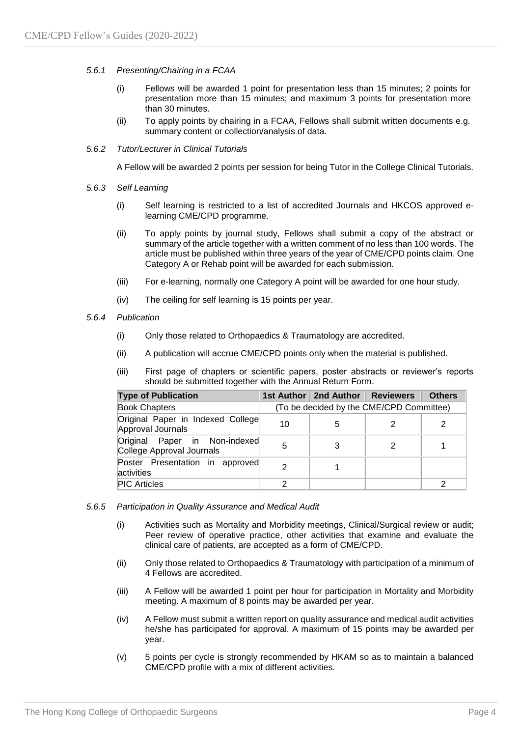#### *5.6.1 Presenting/Chairing in a FCAA*

- (i) Fellows will be awarded 1 point for presentation less than 15 minutes; 2 points for presentation more than 15 minutes; and maximum 3 points for presentation more than 30 minutes.
- (ii) To apply points by chairing in a FCAA, Fellows shall submit written documents e.g. summary content or collection/analysis of data.

#### *5.6.2 Tutor/Lecturer in Clinical Tutorials*

A Fellow will be awarded 2 points per session for being Tutor in the College Clinical Tutorials.

- *5.6.3 Self Learning*
	- (i) Self learning is restricted to a list of accredited Journals and HKCOS approved elearning CME/CPD programme.
	- (ii) To apply points by journal study, Fellows shall submit a copy of the abstract or summary of the article together with a written comment of no less than 100 words. The article must be published within three years of the year of CME/CPD points claim. One Category A or Rehab point will be awarded for each submission.
	- (iii) For e-learning, normally one Category A point will be awarded for one hour study.
	- (iv) The ceiling for self learning is 15 points per year.

#### *5.6.4 Publication*

- (i) Only those related to Orthopaedics & Traumatology are accredited.
- (ii) A publication will accrue CME/CPD points only when the material is published.
- (iii) First page of chapters or scientific papers, poster abstracts or reviewer's reports should be submitted together with the Annual Return Form.

| <b>Type of Publication</b>                                 |                                          | 1st Author   2nd Author   Reviewers |  | <b>Others</b> |  |
|------------------------------------------------------------|------------------------------------------|-------------------------------------|--|---------------|--|
| <b>Book Chapters</b>                                       | (To be decided by the CME/CPD Committee) |                                     |  |               |  |
| Original Paper in Indexed College<br>Approval Journals     | 10                                       | 5                                   |  |               |  |
| Original Paper in Non-indexed<br>College Approval Journals | 5                                        |                                     |  |               |  |
| Poster Presentation in approved<br>activities              | 2                                        |                                     |  |               |  |
| <b>PIC Articles</b>                                        | 2                                        |                                     |  | າ             |  |

- *5.6.5 Participation in Quality Assurance and Medical Audit*
	- (i) Activities such as Mortality and Morbidity meetings, Clinical/Surgical review or audit; Peer review of operative practice, other activities that examine and evaluate the clinical care of patients, are accepted as a form of CME/CPD.
	- (ii) Only those related to Orthopaedics & Traumatology with participation of a minimum of 4 Fellows are accredited.
	- (iii) A Fellow will be awarded 1 point per hour for participation in Mortality and Morbidity meeting. A maximum of 8 points may be awarded per year.
	- (iv) A Fellow must submit a written report on quality assurance and medical audit activities he/she has participated for approval. A maximum of 15 points may be awarded per year.
	- (v) 5 points per cycle is strongly recommended by HKAM so as to maintain a balanced CME/CPD profile with a mix of different activities.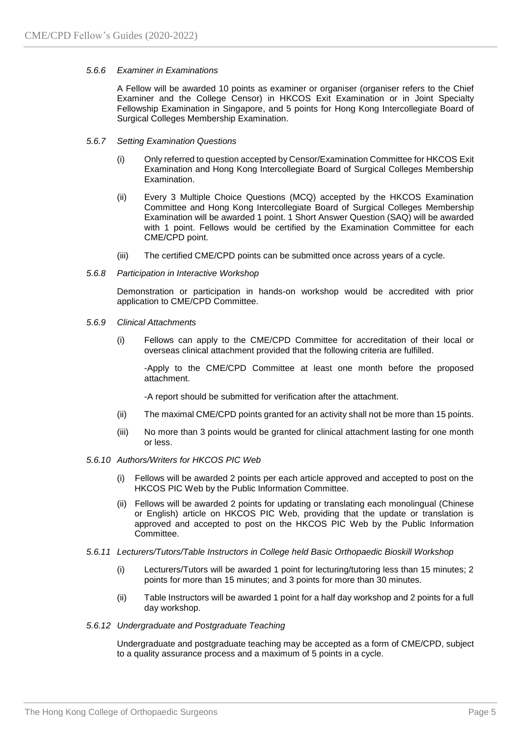#### *5.6.6 Examiner in Examinations*

A Fellow will be awarded 10 points as examiner or organiser (organiser refers to the Chief Examiner and the College Censor) in HKCOS Exit Examination or in Joint Specialty Fellowship Examination in Singapore, and 5 points for Hong Kong Intercollegiate Board of Surgical Colleges Membership Examination.

#### *5.6.7 Setting Examination Questions*

- (i) Only referred to question accepted by Censor/Examination Committee for HKCOS Exit Examination and Hong Kong Intercollegiate Board of Surgical Colleges Membership Examination.
- (ii) Every 3 Multiple Choice Questions (MCQ) accepted by the HKCOS Examination Committee and Hong Kong Intercollegiate Board of Surgical Colleges Membership Examination will be awarded 1 point. 1 Short Answer Question (SAQ) will be awarded with 1 point. Fellows would be certified by the Examination Committee for each CME/CPD point.
- (iii) The certified CME/CPD points can be submitted once across years of a cycle.

#### *5.6.8 Participation in Interactive Workshop*

Demonstration or participation in hands-on workshop would be accredited with prior application to CME/CPD Committee.

- *5.6.9 Clinical Attachments*
	- (i) Fellows can apply to the CME/CPD Committee for accreditation of their local or overseas clinical attachment provided that the following criteria are fulfilled.

-Apply to the CME/CPD Committee at least one month before the proposed attachment.

-A report should be submitted for verification after the attachment.

- (ii) The maximal CME/CPD points granted for an activity shall not be more than 15 points.
- (iii) No more than 3 points would be granted for clinical attachment lasting for one month or less.

#### *5.6.10 Authors/Writers for HKCOS PIC Web*

- (i) Fellows will be awarded 2 points per each article approved and accepted to post on the HKCOS PIC Web by the Public Information Committee.
- (ii) Fellows will be awarded 2 points for updating or translating each monolingual (Chinese or English) article on HKCOS PIC Web, providing that the update or translation is approved and accepted to post on the HKCOS PIC Web by the Public Information Committee.
- *5.6.11 Lecturers/Tutors/Table Instructors in College held Basic Orthopaedic Bioskill Workshop*
	- (i) Lecturers/Tutors will be awarded 1 point for lecturing/tutoring less than 15 minutes; 2 points for more than 15 minutes; and 3 points for more than 30 minutes.
	- (ii) Table Instructors will be awarded 1 point for a half day workshop and 2 points for a full day workshop.

#### *5.6.12 Undergraduate and Postgraduate Teaching*

Undergraduate and postgraduate teaching may be accepted as a form of CME/CPD, subject to a quality assurance process and a maximum of 5 points in a cycle.